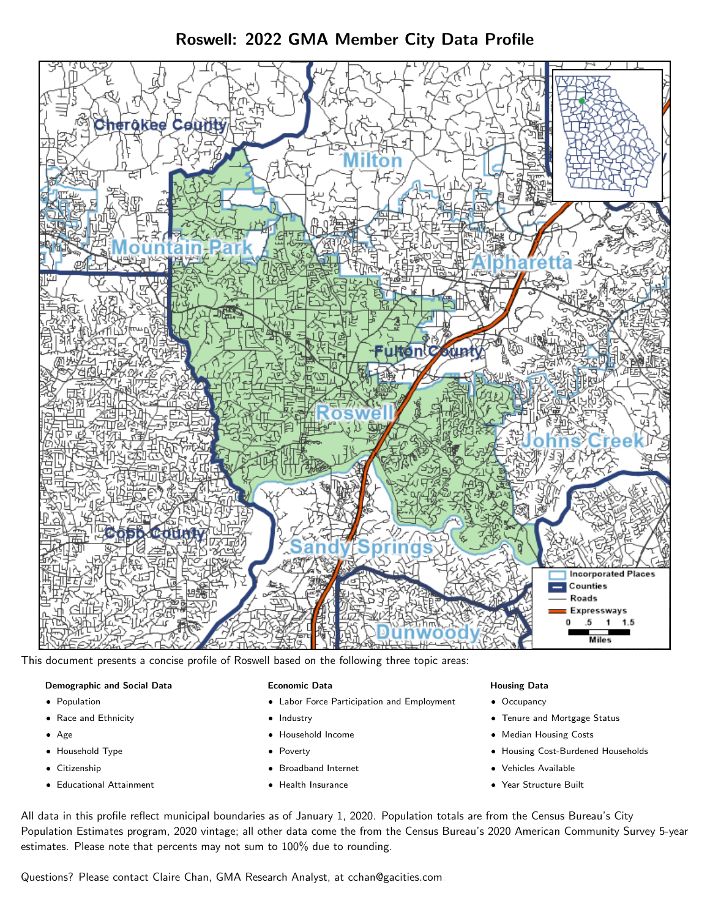Roswell: 2022 GMA Member City Data Profile



This document presents a concise profile of Roswell based on the following three topic areas:

# Demographic and Social Data

- **•** Population
- Race and Ethnicity
- Age
- Household Type
- **Citizenship**
- Educational Attainment

## Economic Data

- Labor Force Participation and Employment
- Industry
- Household Income
- Poverty
- Broadband Internet
- Health Insurance

## Housing Data

- Occupancy
- Tenure and Mortgage Status
- Median Housing Costs
- Housing Cost-Burdened Households
- Vehicles Available
- Year Structure Built

All data in this profile reflect municipal boundaries as of January 1, 2020. Population totals are from the Census Bureau's City Population Estimates program, 2020 vintage; all other data come the from the Census Bureau's 2020 American Community Survey 5-year estimates. Please note that percents may not sum to 100% due to rounding.

Questions? Please contact Claire Chan, GMA Research Analyst, at [cchan@gacities.com.](mailto:cchan@gacities.com)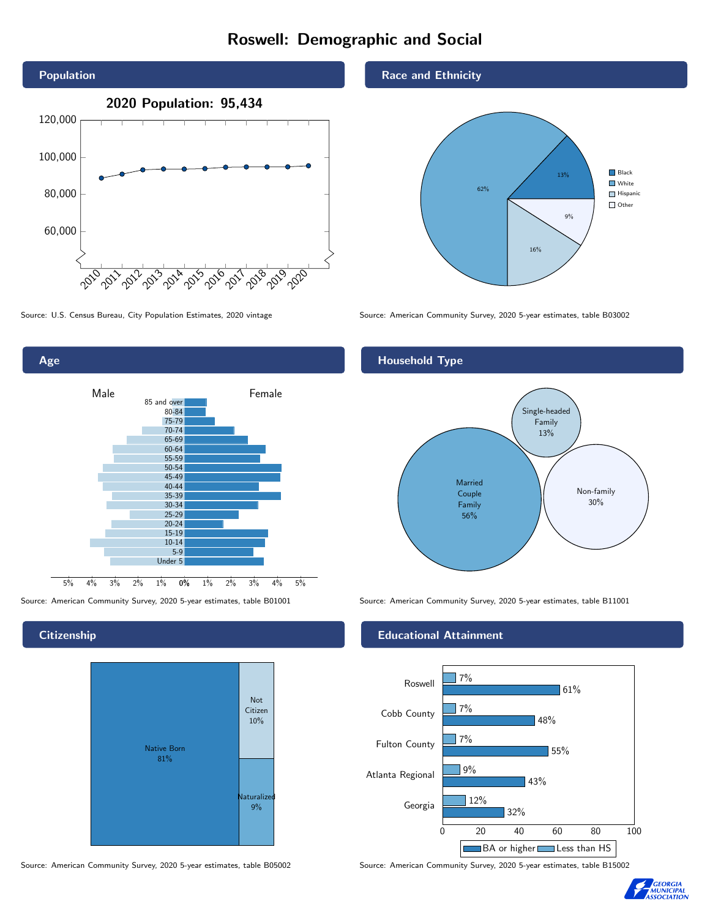# Roswell: Demographic and Social



Age  $1\%$  2% 3% 4% 5% Male **Female** Female 5% 4% 3% 2% 1% 85 and over 80-84 75-79 70-74 65-69 60-64 55-59 50-54 45-49 40-44 35-39 30-34 25-29 20-24 15-19 10-14 5-9 Under 5

# **Citizenship**



Source: American Community Survey, 2020 5-year estimates, table B05002 Source: American Community Survey, 2020 5-year estimates, table B15002

#### Race and Ethnicity



Source: U.S. Census Bureau, City Population Estimates, 2020 vintage Source: American Community Survey, 2020 5-year estimates, table B03002

# Household Type



Source: American Community Survey, 2020 5-year estimates, table B01001 Source: American Community Survey, 2020 5-year estimates, table B11001

## Educational Attainment



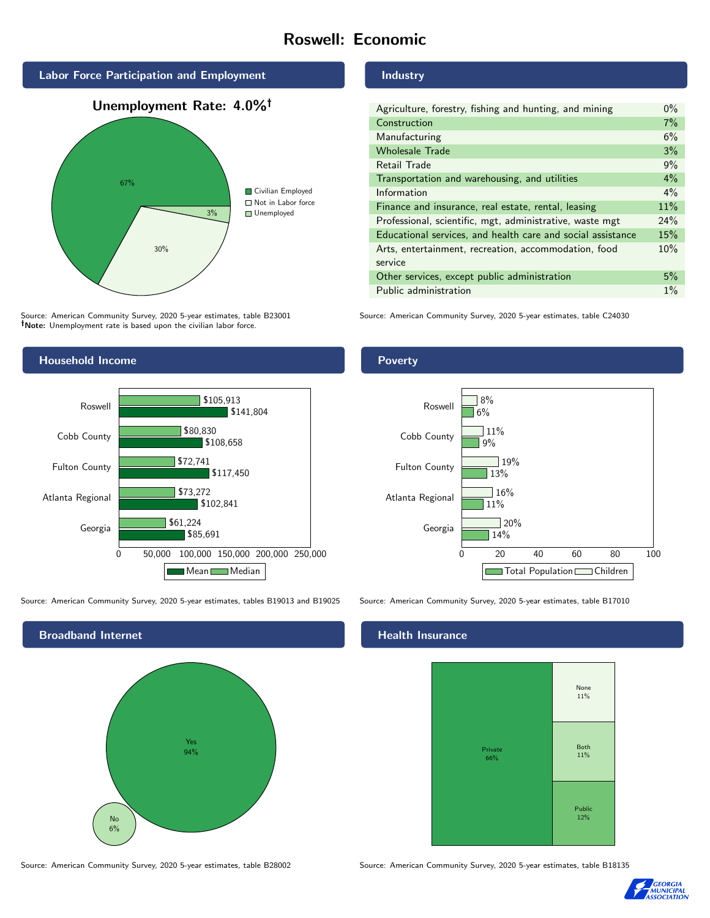# Roswell: Economic



Source: American Community Survey, 2020 5-year estimates, table B23001 Note: Unemployment rate is based upon the civilian labor force.

# Household Income



Source: American Community Survey, 2020 5-year estimates, tables B19013 and B19025 Source: American Community Survey, 2020 5-year estimates, table B17010



Source: American Community Survey, 2020 5-year estimates, table B28002 Source: American Community Survey, 2020 5-year estimates, table B18135

#### Industry

| Agriculture, forestry, fishing and hunting, and mining      | $0\%$ |
|-------------------------------------------------------------|-------|
| Construction                                                | 7%    |
| Manufacturing                                               | 6%    |
| <b>Wholesale Trade</b>                                      | 3%    |
| Retail Trade                                                | 9%    |
| Transportation and warehousing, and utilities               | $4\%$ |
| Information                                                 | $4\%$ |
| Finance and insurance, real estate, rental, leasing         | 11%   |
| Professional, scientific, mgt, administrative, waste mgt    | 24%   |
| Educational services, and health care and social assistance | 15%   |
| Arts, entertainment, recreation, accommodation, food        | 10%   |
| service                                                     |       |
| Other services, except public administration                | 5%    |
| Public administration                                       | $1\%$ |

Source: American Community Survey, 2020 5-year estimates, table C24030

# Poverty



## Health Insurance